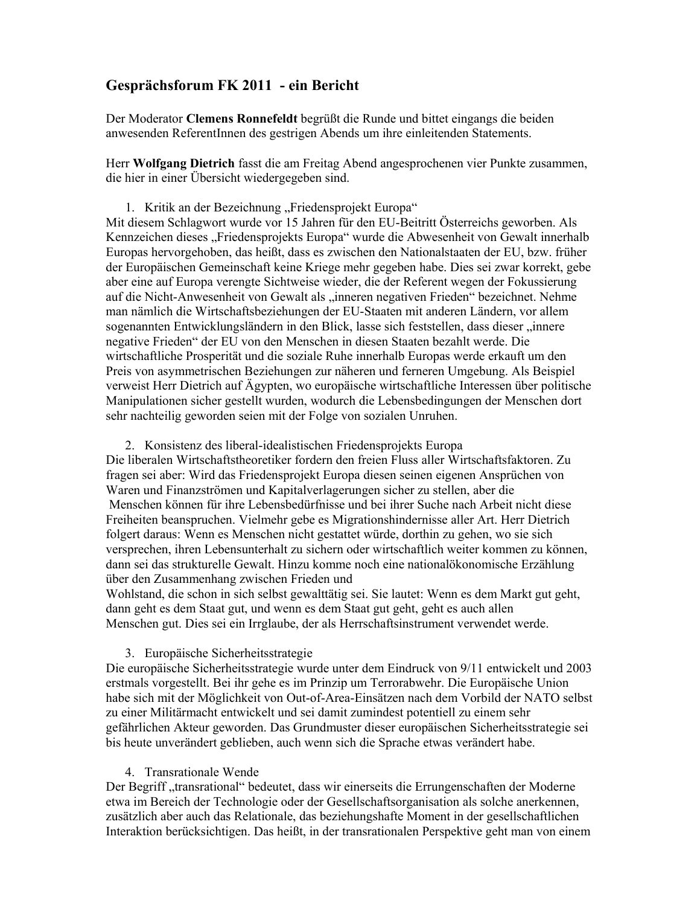# Gesprächsforum FK 2011 - ein Bericht

Der Moderator Clemens Ronnefeldt begrüßt die Runde und bittet eingangs die beiden anwesenden ReferentInnen des gestrigen Abends um ihre einleitenden Statements.

Herr Wolfgang Dietrich fasst die am Freitag Abend angesprochenen vier Punkte zusammen, die hier in einer Übersicht wiedergegeben sind.

1. Kritik an der Bezeichnung "Friedensprojekt Europa"

Mit diesem Schlagwort wurde vor 15 Jahren für den EU-Beitritt Österreichs geworben. Als Kennzeichen dieses "Friedensprojekts Europa" wurde die Abwesenheit von Gewalt innerhalb Europas hervorgehoben, das heißt, dass es zwischen den Nationalstaaten der EU, bzw. früher der Europäischen Gemeinschaft keine Kriege mehr gegeben habe. Dies sei zwar korrekt, gebe aber eine auf Europa verengte Sichtweise wieder, die der Referent wegen der Fokussierung auf die Nicht-Anwesenheit von Gewalt als "inneren negativen Frieden" bezeichnet. Nehme man nämlich die Wirtschaftsbeziehungen der EU-Staaten mit anderen Ländern, vor allem sogenannten Entwicklungsländern in den Blick, lasse sich feststellen, dass dieser "innere negative Frieden" der EU von den Menschen in diesen Staaten bezahlt werde. Die wirtschaftliche Prosperität und die soziale Ruhe innerhalb Europas werde erkauft um den Preis von asymmetrischen Beziehungen zur näheren und ferneren Umgebung. Als Beispiel verweist Herr Dietrich auf Ägypten, wo europäische wirtschaftliche Interessen über politische Manipulationen sicher gestellt wurden, wodurch die Lebensbedingungen der Menschen dort sehr nachteilig geworden seien mit der Folge von sozialen Unruhen.

2. Konsistenz des liberal-idealistischen Friedensprojekts Europa

Die liberalen Wirtschaftstheoretiker fordern den freien Fluss aller Wirtschaftsfaktoren. Zu fragen sei aber: Wird das Friedensprojekt Europa diesen seinen eigenen Ansprüchen von Waren und Finanzströmen und Kapitalverlagerungen sicher zu stellen, aber die Menschen können für ihre Lebensbedürfnisse und bei ihrer Suche nach Arbeit nicht diese Freiheiten beanspruchen. Vielmehr gebe es Migrationshindernisse aller Art. Herr Dietrich folgert daraus: Wenn es Menschen nicht gestattet würde, dorthin zu gehen, wo sie sich versprechen, ihren Lebensunterhalt zu sichern oder wirtschaftlich weiter kommen zu können, dann sei das strukturelle Gewalt. Hinzu komme noch eine nationalökonomische Erzählung über den Zusammenhang zwischen Frieden und

Wohlstand, die schon in sich selbst gewalttätig sei. Sie lautet: Wenn es dem Markt gut geht, dann geht es dem Staat gut, und wenn es dem Staat gut geht, geht es auch allen Menschen gut. Dies sei ein Irrglaube, der als Herrschaftsinstrument verwendet werde.

# 3. Europäische Sicherheitsstrategie

Die europäische Sicherheitsstrategie wurde unter dem Eindruck von 9/11 entwickelt und 2003 erstmals vorgestellt. Bei ihr gehe es im Prinzip um Terrorabwehr. Die Europäische Union habe sich mit der Möglichkeit von Out-of-Area-Einsätzen nach dem Vorbild der NATO selbst zu einer Militärmacht entwickelt und sei damit zumindest potentiell zu einem sehr gefährlichen Akteur geworden. Das Grundmuster dieser europäischen Sicherheitsstrategie sei bis heute unverändert geblieben, auch wenn sich die Sprache etwas verändert habe.

#### 4. Transrationale Wende

Der Begriff "transrational" bedeutet, dass wir einerseits die Errungenschaften der Moderne etwa im Bereich der Technologie oder der Gesellschaftsorganisation als solche anerkennen, zusätzlich aber auch das Relationale, das beziehungshafte Moment in der gesellschaftlichen Interaktion berücksichtigen. Das heißt, in der transrationalen Perspektive geht man von einem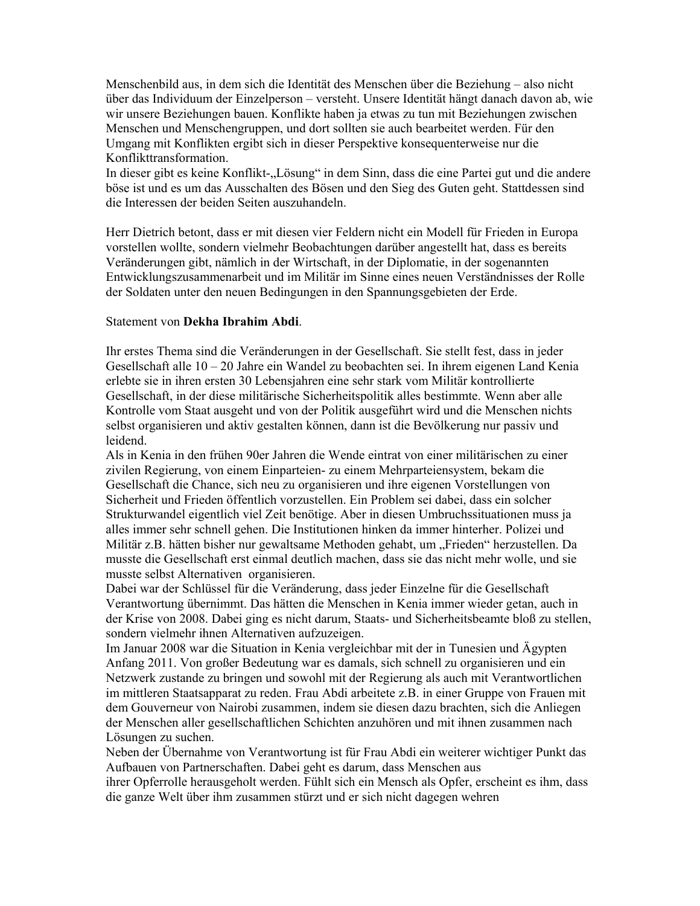Menschenbild aus, in dem sich die Identität des Menschen über die Beziehung – also nicht über das Individuum der Einzelperson – versteht. Unsere Identität hängt danach davon ab, wie wir unsere Beziehungen bauen. Konflikte haben ja etwas zu tun mit Beziehungen zwischen Menschen und Menschengruppen, und dort sollten sie auch bearbeitet werden. Für den Umgang mit Konflikten ergibt sich in dieser Perspektive konsequenterweise nur die Konflikttransformation.

In dieser gibt es keine Konflikt-"Lösung" in dem Sinn, dass die eine Partei gut und die andere böse ist und es um das Ausschalten des Bösen und den Sieg des Guten geht. Stattdessen sind die Interessen der beiden Seiten auszuhandeln.

Herr Dietrich betont, dass er mit diesen vier Feldern nicht ein Modell für Frieden in Europa vorstellen wollte, sondern vielmehr Beobachtungen darüber angestellt hat, dass es bereits Veränderungen gibt, nämlich in der Wirtschaft, in der Diplomatie, in der sogenannten Entwicklungszusammenarbeit und im Militär im Sinne eines neuen Verständnisses der Rolle der Soldaten unter den neuen Bedingungen in den Spannungsgebieten der Erde.

### Statement von Dekha Ibrahim Abdi.

Ihr erstes Thema sind die Veränderungen in der Gesellschaft. Sie stellt fest, dass in jeder Gesellschaft alle  $10 - 20$  Jahre ein Wandel zu beobachten sei. In ihrem eigenen Land Kenia erlebte sie in ihren ersten 30 Lebensiahren eine sehr stark vom Militär kontrollierte Gesellschaft, in der diese militärische Sicherheitspolitik alles bestimmte. Wenn aber alle Kontrolle vom Staat ausgeht und von der Politik ausgeführt wird und die Menschen nichts selbst organisieren und aktiv gestalten können, dann ist die Bevölkerung nur passiv und leidend.

Als in Kenia in den frühen 90er Jahren die Wende eintrat von einer militärischen zu einer zivilen Regierung, von einem Einparteien- zu einem Mehrparteiensystem, bekam die Gesellschaft die Chance, sich neu zu organisieren und ihre eigenen Vorstellungen von Sicherheit und Frieden öffentlich vorzustellen. Ein Problem sei dabei, dass ein solcher Strukturwandel eigentlich viel Zeit benötige. Aber in diesen Umbruchssituationen muss ja alles immer sehr schnell gehen. Die Institutionen hinken da immer hinterher. Polizei und Militär z.B. hätten bisher nur gewaltsame Methoden gehabt, um "Frieden" herzustellen. Da musste die Gesellschaft erst einmal deutlich machen, dass sie das nicht mehr wolle, und sie musste selbst Alternativen organisieren.

Dabei war der Schlüssel für die Veränderung, dass jeder Einzelne für die Gesellschaft Verantwortung übernimmt. Das hätten die Menschen in Kenia immer wieder getan, auch in der Krise von 2008. Dabei ging es nicht darum, Staats- und Sicherheitsbeamte bloß zu stellen, sondern vielmehr ihnen Alternativen aufzuzeigen.

Im Januar 2008 war die Situation in Kenia vergleichbar mit der in Tunesien und Ägypten Anfang 2011. Von großer Bedeutung war es damals, sich schnell zu organisieren und ein Netzwerk zustande zu bringen und sowohl mit der Regierung als auch mit Verantwortlichen im mittleren Staatsapparat zu reden. Frau Abdi arbeitete z.B. in einer Gruppe von Frauen mit dem Gouverneur von Nairobi zusammen, indem sie diesen dazu brachten, sich die Anliegen der Menschen aller gesellschaftlichen Schichten anzuhören und mit ihnen zusammen nach Lösungen zu suchen.

Neben der Übernahme von Verantwortung ist für Frau Abdi ein weiterer wichtiger Punkt das Aufbauen von Partnerschaften. Dabei geht es darum, dass Menschen aus

ihrer Opferrolle herausgeholt werden. Fühlt sich ein Mensch als Opfer, erscheint es ihm, dass die ganze Welt über ihm zusammen stürzt und er sich nicht dagegen wehren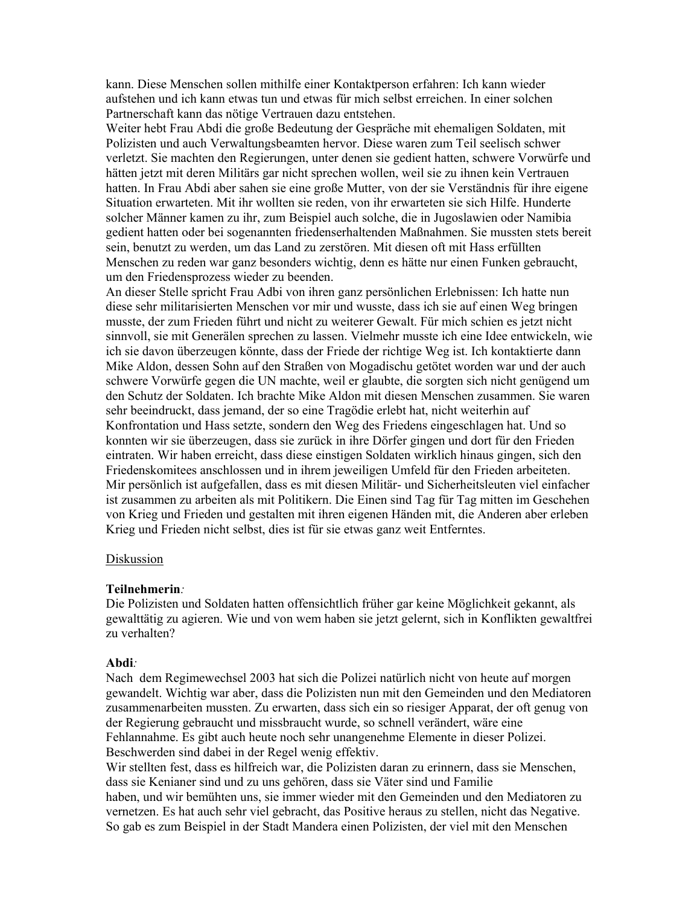kann. Diese Menschen sollen mithilfe einer Kontaktperson erfahren: Ich kann wieder aufstehen und ich kann etwas tun und etwas für mich selbst erreichen. In einer solchen Partnerschaft kann das nötige Vertrauen dazu entstehen.

Weiter hebt Frau Abdi die große Bedeutung der Gespräche mit ehemaligen Soldaten, mit Polizisten und auch Verwaltungsbeamten hervor. Diese waren zum Teil seelisch schwer verletzt. Sie machten den Regierungen, unter denen sie gedient hatten, schwere Vorwürfe und hätten jetzt mit deren Militärs gar nicht sprechen wollen, weil sie zu ihnen kein Vertrauen hatten. In Frau Abdi aber sahen sie eine große Mutter, von der sie Verständnis für ihre eigene Situation erwarteten. Mit ihr wollten sie reden, von ihr erwarteten sie sich Hilfe. Hunderte solcher Männer kamen zu ihr, zum Beispiel auch solche, die in Jugoslawien oder Namibia gedient hatten oder bei sogenannten friedenserhaltenden Maßnahmen. Sie mussten stets bereit sein, benutzt zu werden, um das Land zu zerstören. Mit diesen oft mit Hass erfüllten Menschen zu reden war ganz besonders wichtig, denn es hätte nur einen Funken gebraucht, um den Friedensprozess wieder zu beenden.

An dieser Stelle spricht Frau Adbi von ihren ganz persönlichen Erlebnissen: Ich hatte nun diese sehr militarisierten Menschen vor mir und wusste, dass ich sie auf einen Weg bringen musste, der zum Frieden führt und nicht zu weiterer Gewalt. Für mich schien es jetzt nicht sinnvoll, sie mit Generälen sprechen zu lassen. Vielmehr musste ich eine Idee entwickeln, wie ich sie davon überzeugen könnte, dass der Friede der richtige Weg ist. Ich kontaktierte dann Mike Aldon, dessen Sohn auf den Straßen von Mogadischu getötet worden war und der auch schwere Vorwürfe gegen die UN machte, weil er glaubte, die sorgten sich nicht genügend um den Schutz der Soldaten. Ich brachte Mike Aldon mit diesen Menschen zusammen. Sie waren sehr beeindruckt, dass jemand, der so eine Tragödie erlebt hat, nicht weiterhin auf Konfrontation und Hass setzte, sondern den Weg des Friedens eingeschlagen hat. Und so konnten wir sie überzeugen, dass sie zurück in ihre Dörfer gingen und dort für den Frieden eintraten. Wir haben erreicht, dass diese einstigen Soldaten wirklich hinaus gingen, sich den Friedenskomitees anschlossen und in ihrem jeweiligen Umfeld für den Frieden arbeiteten. Mir persönlich ist aufgefallen, dass es mit diesen Militär- und Sicherheitsleuten viel einfacher ist zusammen zu arbeiten als mit Politikern. Die Einen sind Tag für Tag mitten im Geschehen von Krieg und Frieden und gestalten mit ihren eigenen Händen mit, die Anderen aber erleben Krieg und Frieden nicht selbst, dies ist für sie etwas ganz weit Entferntes.

# Diskussion

#### Teilnehmerin:

Die Polizisten und Soldaten hatten offensichtlich früher gar keine Möglichkeit gekannt, als gewalttätig zu agieren. Wie und von wem haben sie jetzt gelernt, sich in Konflikten gewaltfrei zu verhalten?

#### Abdi:

Nach dem Regimewechsel 2003 hat sich die Polizei natürlich nicht von heute auf morgen gewandelt. Wichtig war aber, dass die Polizisten nun mit den Gemeinden und den Mediatoren zusammenarbeiten mussten. Zu erwarten, dass sich ein so riesiger Apparat, der oft genug von der Regierung gebraucht und missbraucht wurde, so schnell verändert, wäre eine Fehlannahme. Es gibt auch heute noch sehr unangenehme Elemente in dieser Polizei. Beschwerden sind dabei in der Regel wenig effektiv.

Wir stellten fest, dass es hilfreich war, die Polizisten daran zu erinnern, dass sie Menschen, dass sie Kenianer sind und zu uns gehören, dass sie Väter sind und Familie haben, und wir bemühten uns, sie immer wieder mit den Gemeinden und den Mediatoren zu vernetzen. Es hat auch sehr viel gebracht, das Positive heraus zu stellen, nicht das Negative. So gab es zum Beispiel in der Stadt Mandera einen Polizisten, der viel mit den Menschen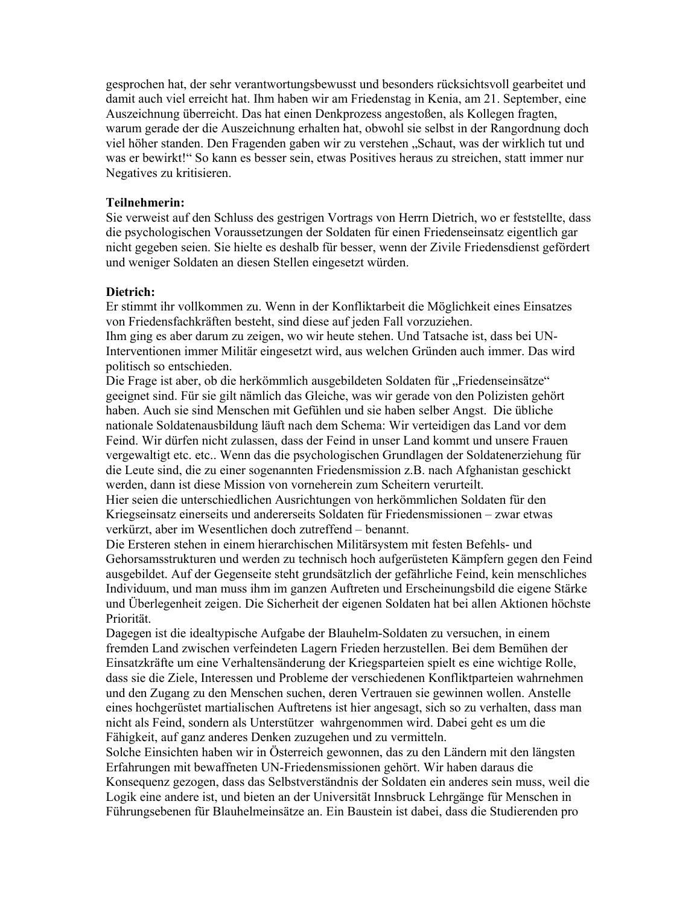gesprochen hat, der sehr verantwortungsbewusst und besonders rücksichtsvoll gearbeitet und damit auch viel erreicht hat. Ihm haben wir am Friedenstag in Kenia, am 21. September, eine Auszeichnung überreicht. Das hat einen Denkprozess angestoßen, als Kollegen fragten, warum gerade der die Auszeichnung erhalten hat, obwohl sie selbst in der Rangordnung doch viel höher standen. Den Fragenden gaben wir zu verstehen "Schaut, was der wirklich tut und was er bewirkt!" So kann es besser sein, etwas Positives heraus zu streichen, statt immer nur Negatives zu kritisieren.

### Teilnehmerin:

Sie verweist auf den Schluss des gestrigen Vortrags von Herrn Dietrich, wo er feststellte, dass die psychologischen Voraussetzungen der Soldaten für einen Friedenseinsatz eigentlich gar nicht gegeben seien. Sie hielte es deshalb für besser, wenn der Zivile Friedensdienst gefördert und weniger Soldaten an diesen Stellen eingesetzt würden.

#### Dietrich:

Er stimmt ihr vollkommen zu. Wenn in der Konfliktarbeit die Möglichkeit eines Einsatzes von Friedensfachkräften besteht, sind diese auf jeden Fall vorzuziehen.

Ihm ging es aber darum zu zeigen, wo wir heute stehen. Und Tatsache ist, dass bei UN-Interventionen immer Militär eingesetzt wird, aus welchen Gründen auch immer. Das wird politisch so entschieden.

Die Frage ist aber, ob die herkömmlich ausgebildeten Soldaten für "Friedenseinsätze" geeignet sind. Für sie gilt nämlich das Gleiche, was wir gerade von den Polizisten gehört haben. Auch sie sind Menschen mit Gefühlen und sie haben selber Angst. Die übliche nationale Soldatenausbildung läuft nach dem Schema: Wir verteidigen das Land vor dem Feind. Wir dürfen nicht zulassen, dass der Feind in unser Land kommt und unsere Frauen vergewaltigt etc. etc.. Wenn das die psychologischen Grundlagen der Soldatenerziehung für die Leute sind, die zu einer sogenannten Friedensmission z.B. nach Afghanistan geschickt werden, dann ist diese Mission von vorneherein zum Scheitern verurteilt.

Hier seien die unterschiedlichen Ausrichtungen von herkömmlichen Soldaten für den Kriegseinsatz einerseits und andererseits Soldaten für Friedensmissionen – zwar etwas verkürzt, aber im Wesentlichen doch zutreffend – benannt.

Die Ersteren stehen in einem hierarchischen Militärsystem mit festen Befehls- und Gehorsamsstrukturen und werden zu technisch hoch aufgerüsteten Kämpfern gegen den Feind ausgebildet. Auf der Gegenseite steht grundsätzlich der gefährliche Feind, kein menschliches Individuum, und man muss ihm im ganzen Auftreten und Erscheinungsbild die eigene Stärke und Überlegenheit zeigen. Die Sicherheit der eigenen Soldaten hat bei allen Aktionen höchste Priorität.

Dagegen ist die idealtypische Aufgabe der Blauhelm-Soldaten zu versuchen, in einem fremden Land zwischen verfeindeten Lagern Frieden herzustellen. Bei dem Bemühen der Einsatzkräfte um eine Verhaltensänderung der Kriegsparteien spielt es eine wichtige Rolle, dass sie die Ziele, Interessen und Probleme der verschiedenen Konfliktparteien wahrnehmen und den Zugang zu den Menschen suchen, deren Vertrauen sie gewinnen wollen. Anstelle eines hochgerüstet martialischen Auftretens ist hier angesagt, sich so zu verhalten, dass man nicht als Feind, sondern als Unterstützer wahrgenommen wird. Dabei geht es um die Fähigkeit, auf ganz anderes Denken zuzugehen und zu vermitteln.

Solche Einsichten haben wir in Österreich gewonnen, das zu den Ländern mit den längsten Erfahrungen mit bewaffneten UN-Friedensmissionen gehört. Wir haben daraus die Konsequenz gezogen, dass das Selbstverständnis der Soldaten ein anderes sein muss, weil die Logik eine andere ist, und bieten an der Universität Innsbruck Lehrgänge für Menschen in Führungsebenen für Blauhelmeinsätze an. Ein Baustein ist dabei, dass die Studierenden pro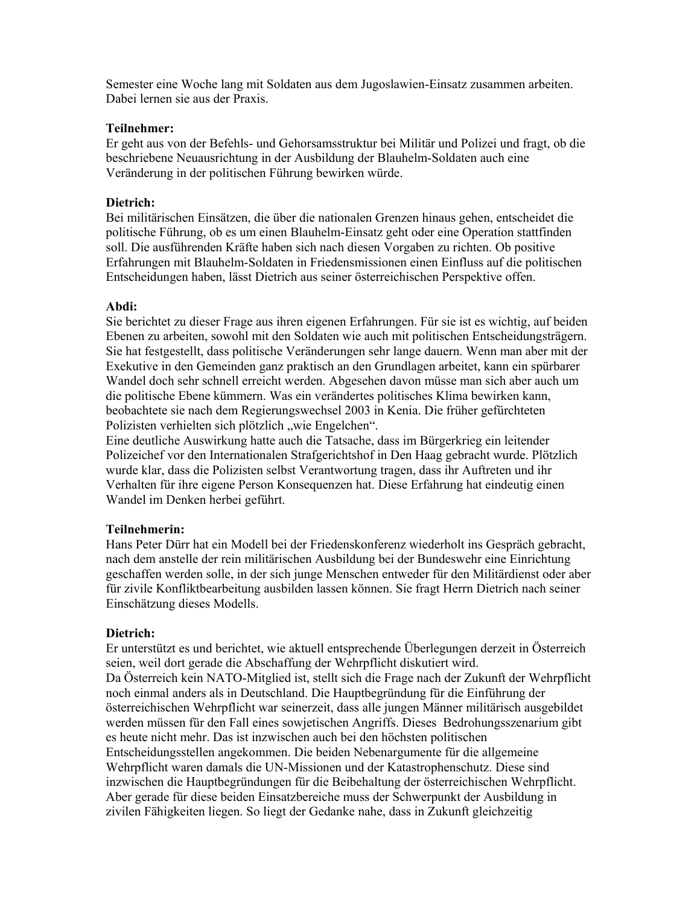Semester eine Woche lang mit Soldaten aus dem Jugoslawien-Einsatz zusammen arbeiten. Dabei lernen sie aus der Praxis.

### Teilnehmer:

Er geht aus von der Befehls- und Gehorsamsstruktur bei Militär und Polizei und fragt, ob die beschriebene Neuausrichtung in der Ausbildung der Blauhelm-Soldaten auch eine Veränderung in der politischen Führung bewirken würde.

# Dietrich:

Bei militärischen Einsätzen, die über die nationalen Grenzen hinaus gehen, entscheidet die politische Führung, ob es um einen Blauhelm-Einsatz geht oder eine Operation stattfinden soll. Die ausführenden Kräfte haben sich nach diesen Vorgaben zu richten. Ob positive Erfahrungen mit Blauhelm-Soldaten in Friedensmissionen einen Einfluss auf die politischen Entscheidungen haben, lässt Dietrich aus seiner österreichischen Perspektive offen.

# Abdi:

Sie berichtet zu dieser Frage aus ihren eigenen Erfahrungen. Für sie ist es wichtig, auf beiden Ebenen zu arbeiten, sowohl mit den Soldaten wie auch mit politischen Entscheidungsträgern. Sie hat festgestellt, dass politische Veränderungen sehr lange dauern. Wenn man aber mit der Exekutive in den Gemeinden ganz praktisch an den Grundlagen arbeitet, kann ein spürbarer Wandel doch sehr schnell erreicht werden. Abgesehen davon müsse man sich aber auch um die politische Ebene kümmern. Was ein verändertes politisches Klima bewirken kann, beobachtete sie nach dem Regierungswechsel 2003 in Kenia. Die früher gefürchteten Polizisten verhielten sich plötzlich "wie Engelchen".

Eine deutliche Auswirkung hatte auch die Tatsache, dass im Bürgerkrieg ein leitender Polizeichef vor den Internationalen Strafgerichtshof in Den Haag gebracht wurde. Plötzlich wurde klar, dass die Polizisten selbst Verantwortung tragen, dass ihr Auftreten und ihr Verhalten für ihre eigene Person Konsequenzen hat. Diese Erfahrung hat eindeutig einen Wandel im Denken herbei geführt.

# Teilnehmerin:

Hans Peter Dürr hat ein Modell bei der Friedenskonferenz wiederholt ins Gespräch gebracht, nach dem anstelle der rein militärischen Ausbildung bei der Bundeswehr eine Einrichtung geschaffen werden solle, in der sich junge Menschen entweder für den Militärdienst oder aber für zivile Konfliktbearbeitung ausbilden lassen können. Sie fragt Herrn Dietrich nach seiner Einschätzung dieses Modells.

# Dietrich:

Er unterstützt es und berichtet, wie aktuell entsprechende Überlegungen derzeit in Österreich seien, weil dort gerade die Abschaffung der Wehrpflicht diskutiert wird. Da Österreich kein NATO-Mitglied ist, stellt sich die Frage nach der Zukunft der Wehrpflicht noch einmal anders als in Deutschland. Die Hauptbegründung für die Einführung der österreichischen Wehrpflicht war seinerzeit, dass alle jungen Männer militärisch ausgebildet werden müssen für den Fall eines sowjetischen Angriffs. Dieses Bedrohungsszenarium gibt es heute nicht mehr. Das ist inzwischen auch bei den höchsten politischen Entscheidungsstellen angekommen. Die beiden Nebenargumente für die allgemeine Wehrpflicht waren damals die UN-Missionen und der Katastrophenschutz. Diese sind inzwischen die Hauptbegründungen für die Beibehaltung der österreichischen Wehrpflicht. Aber gerade für diese beiden Einsatzbereiche muss der Schwerpunkt der Ausbildung in zivilen Fähigkeiten liegen. So liegt der Gedanke nahe, dass in Zukunft gleichzeitig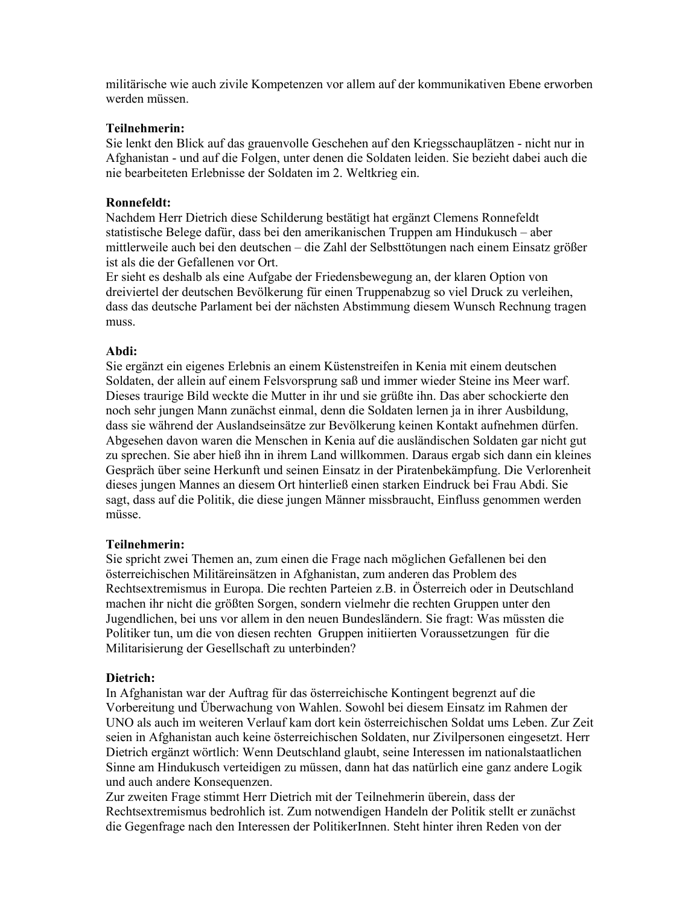militärische wie auch zivile Kompetenzen vor allem auf der kommunikativen Ebene erworben werden müssen

# Teilnehmerin:

Sie lenkt den Blick auf das grauenvolle Geschehen auf den Kriegsschauplätzen - nicht nur in Afghanistan - und auf die Folgen, unter denen die Soldaten leiden. Sie bezieht dabei auch die nie bearbeiteten Erlebnisse der Soldaten im 2. Weltkrieg ein.

# **Ronnefeldt:**

Nachdem Herr Dietrich diese Schilderung bestätigt hat ergänzt Clemens Ronnefeldt statistische Belege dafür, dass bei den amerikanischen Truppen am Hindukusch - aber mittlerweile auch bei den deutschen - die Zahl der Selbsttötungen nach einem Einsatz größer ist als die der Gefallenen vor Ort.

Er sieht es deshalb als eine Aufgabe der Friedensbewegung an, der klaren Option von dreiviertel der deutschen Bevölkerung für einen Truppenabzug so viel Druck zu verleihen, dass das deutsche Parlament bei der nächsten Abstimmung diesem Wunsch Rechnung tragen muss

# Ahdi:

Sie ergänzt ein eigenes Erlebnis an einem Küstenstreifen in Kenia mit einem deutschen Soldaten, der allein auf einem Felsvorsprung saß und immer wieder Steine ins Meer warf. Dieses traurige Bild weckte die Mutter in ihr und sie grüßte ihn. Das aber schockierte den noch sehr jungen Mann zunächst einmal, denn die Soldaten lernen ja in ihrer Ausbildung, dass sie während der Auslandseinsätze zur Bevölkerung keinen Kontakt aufnehmen dürfen. Abgesehen davon waren die Menschen in Kenia auf die ausländischen Soldaten gar nicht gut zu sprechen. Sie aber hieß ihn in ihrem Land willkommen. Daraus ergab sich dann ein kleines Gespräch über seine Herkunft und seinen Einsatz in der Piratenbekämpfung. Die Verlorenheit dieses jungen Mannes an diesem Ort hinterließ einen starken Eindruck bei Frau Abdi. Sie sagt, dass auf die Politik, die diese jungen Männer missbraucht, Einfluss genommen werden müsse.

# Teilnehmerin:

Sie spricht zwei Themen an, zum einen die Frage nach möglichen Gefallenen bei den österreichischen Militäreinsätzen in Afghanistan, zum anderen das Problem des Rechtsextremismus in Europa. Die rechten Parteien z.B. in Österreich oder in Deutschland machen ihr nicht die größten Sorgen, sondern vielmehr die rechten Gruppen unter den Jugendlichen, bei uns vor allem in den neuen Bundesländern. Sie fragt: Was müssten die Politiker tun, um die von diesen rechten Gruppen initiierten Voraussetzungen für die Militarisierung der Gesellschaft zu unterbinden?

# Dietrich:

In Afghanistan war der Auftrag für das österreichische Kontingent begrenzt auf die Vorbereitung und Überwachung von Wahlen. Sowohl bei diesem Einsatz im Rahmen der UNO als auch im weiteren Verlauf kam dort kein österreichischen Soldat ums Leben. Zur Zeit seien in Afghanistan auch keine österreichischen Soldaten, nur Zivilpersonen eingesetzt. Herr Dietrich ergänzt wörtlich: Wenn Deutschland glaubt, seine Interessen im nationalstaatlichen Sinne am Hindukusch verteidigen zu müssen, dann hat das natürlich eine ganz andere Logik und auch andere Konsequenzen.

Zur zweiten Frage stimmt Herr Dietrich mit der Teilnehmerin überein, dass der Rechtsextremismus bedrohlich ist. Zum notwendigen Handeln der Politik stellt er zunächst die Gegenfrage nach den Interessen der PolitikerInnen. Steht hinter ihren Reden von der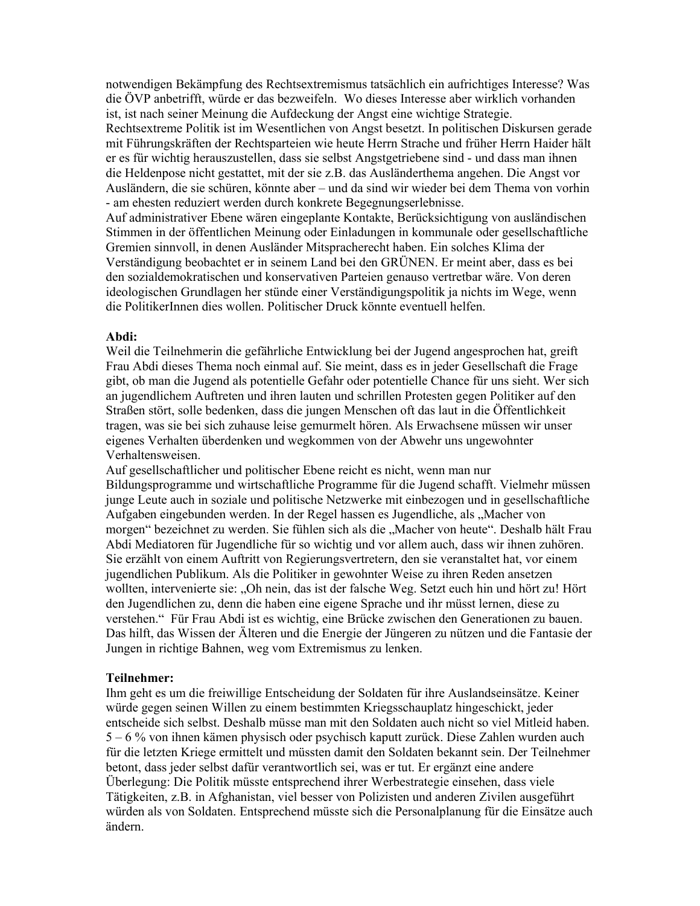notwendigen Bekämpfung des Rechtsextremismus tatsächlich ein aufrichtiges Interesse? Was die ÖVP anbetrifft, würde er das bezweifeln. Wo dieses Interesse aber wirklich vorhanden ist, ist nach seiner Meinung die Aufdeckung der Angst eine wichtige Strategie. Rechtsextreme Politik ist im Wesentlichen von Angst besetzt. In politischen Diskursen gerade mit Führungskräften der Rechtsparteien wie heute Herrn Strache und früher Herrn Haider hält er es für wichtig herauszustellen, dass sie selbst Angstgetriebene sind - und dass man ihnen die Heldenpose nicht gestattet, mit der sie z.B. das Ausländerthema angehen. Die Angst vor Ausländern, die sie schüren, könnte aber – und da sind wir wieder bei dem Thema von vorhin - am ehesten reduziert werden durch konkrete Begegnungserlebnisse. Auf administrativer Ebene wären eingeplante Kontakte, Berücksichtigung von ausländischen

Stimmen in der öffentlichen Meinung oder Einladungen in kommunale oder gesellschaftliche Gremien sinnvoll, in denen Ausländer Mitspracherecht haben. Ein solches Klima der Verständigung beobachtet er in seinem Land bei den GRÜNEN. Er meint aber, dass es bei den sozialdemokratischen und konservativen Parteien genauso vertretbar wäre. Von deren ideologischen Grundlagen her stünde einer Verständigungspolitik ja nichts im Wege, wenn die PolitikerInnen dies wollen. Politischer Druck könnte eventuell helfen.

#### Abdi:

Weil die Teilnehmerin die gefährliche Entwicklung bei der Jugend angesprochen hat, greift Frau Abdi dieses Thema noch einmal auf. Sie meint, dass es in jeder Gesellschaft die Frage gibt, ob man die Jugend als potentielle Gefahr oder potentielle Chance für uns sieht. Wer sich an jugendlichem Auftreten und ihren lauten und schrillen Protesten gegen Politiker auf den Straßen stört, solle bedenken, dass die jungen Menschen oft das laut in die Öffentlichkeit tragen, was sie bei sich zuhause leise gemurmelt hören. Als Erwachsene müssen wir unser eigenes Verhalten überdenken und wegkommen von der Abwehr uns ungewohnter Verhaltensweisen.

Auf gesellschaftlicher und politischer Ebene reicht es nicht, wenn man nur Bildungsprogramme und wirtschaftliche Programme für die Jugend schafft. Vielmehr müssen junge Leute auch in soziale und politische Netzwerke mit einbezogen und in gesellschaftliche Aufgaben eingebunden werden. In der Regel hassen es Jugendliche, als "Macher von morgen" bezeichnet zu werden. Sie fühlen sich als die "Macher von heute". Deshalb hält Frau Abdi Mediatoren für Jugendliche für so wichtig und vor allem auch, dass wir ihnen zuhören. Sie erzählt von einem Auftritt von Regierungsvertretern, den sie veranstaltet hat, vor einem jugendlichen Publikum. Als die Politiker in gewohnter Weise zu ihren Reden ansetzen wollten, intervenierte sie: "Oh nein, das ist der falsche Weg. Setzt euch hin und hört zu! Hört den Jugendlichen zu, denn die haben eine eigene Sprache und ihr müsst lernen, diese zu verstehen." Für Frau Abdi ist es wichtig, eine Brücke zwischen den Generationen zu bauen. Das hilft, das Wissen der Älteren und die Energie der Jüngeren zu nützen und die Fantasie der Jungen in richtige Bahnen, weg vom Extremismus zu lenken.

#### Teilnehmer:

Ihm geht es um die freiwillige Entscheidung der Soldaten für ihre Auslandseinsätze. Keiner würde gegen seinen Willen zu einem bestimmten Kriegsschauplatz hingeschickt, jeder entscheide sich selbst. Deshalb müsse man mit den Soldaten auch nicht so viel Mitleid haben.  $5 - 6$  % von ihnen kämen physisch oder psychisch kaputt zurück. Diese Zahlen wurden auch für die letzten Kriege ermittelt und müssten damit den Soldaten bekannt sein. Der Teilnehmer betont, dass jeder selbst dafür verantwortlich sei, was er tut. Er ergänzt eine andere Überlegung: Die Politik müsste entsprechend ihrer Werbestrategie einsehen, dass viele Tätigkeiten, z.B. in Afghanistan, viel besser von Polizisten und anderen Zivilen ausgeführt würden als von Soldaten. Entsprechend müsste sich die Personalplanung für die Einsätze auch ändern.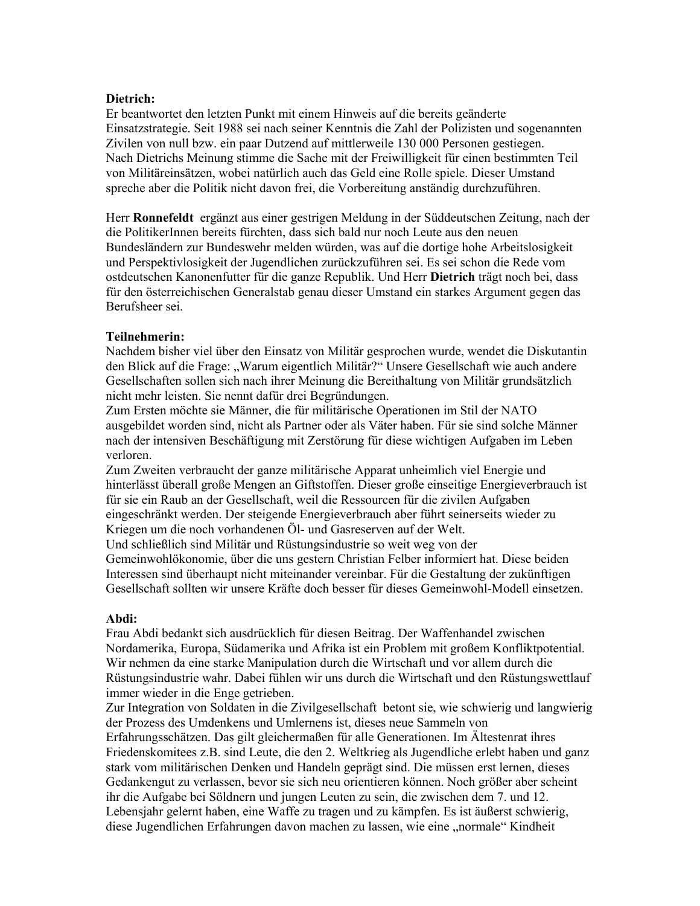# Dietrich:

Er beantwortet den letzten Punkt mit einem Hinweis auf die bereits geänderte Einsatzstrategie. Seit 1988 sei nach seiner Kenntnis die Zahl der Polizisten und sogenannten Zivilen von null bzw. ein paar Dutzend auf mittlerweile 130 000 Personen gestiegen. Nach Dietrichs Meinung stimme die Sache mit der Freiwilligkeit für einen bestimmten Teil von Militäreinsätzen, wobei natürlich auch das Geld eine Rolle spiele. Dieser Umstand spreche aber die Politik nicht davon frei, die Vorbereitung anständig durchzuführen.

Herr Ronnefeldt ergänzt aus einer gestrigen Meldung in der Süddeutschen Zeitung, nach der die PolitikerInnen bereits fürchten, dass sich bald nur noch Leute aus den neuen Bundesländern zur Bundeswehr melden würden, was auf die dortige hohe Arbeitslosigkeit und Perspektivlosigkeit der Jugendlichen zurückzuführen sei. Es sei schon die Rede vom ostdeutschen Kanonenfutter für die ganze Republik. Und Herr Dietrich trägt noch bei, dass für den österreichischen Generalstab genau dieser Umstand ein starkes Argument gegen das Berufsheer sei

# Teilnehmerin:

Nachdem bisher viel über den Einsatz von Militär gesprochen wurde, wendet die Diskutantin den Blick auf die Frage: "Warum eigentlich Militär?" Unsere Gesellschaft wie auch andere Gesellschaften sollen sich nach ihrer Meinung die Bereithaltung von Militär grundsätzlich nicht mehr leisten. Sie nennt dafür drei Begründungen.

Zum Ersten möchte sie Männer, die für militärische Operationen im Stil der NATO ausgebildet worden sind, nicht als Partner oder als Väter haben. Für sie sind solche Männer nach der intensiven Beschäftigung mit Zerstörung für diese wichtigen Aufgaben im Leben verloren.

Zum Zweiten verbraucht der ganze militärische Apparat unheimlich viel Energie und hinterlässt überall große Mengen an Giftstoffen. Dieser große einseitige Energieverbrauch ist für sie ein Raub an der Gesellschaft, weil die Ressourcen für die zivilen Aufgaben eingeschränkt werden. Der steigende Energieverbrauch aber führt seinerseits wieder zu Kriegen um die noch vorhandenen Öl- und Gasreserven auf der Welt.

Und schließlich sind Militär und Rüstungsindustrie so weit weg von der Gemeinwohlökonomie, über die uns gestern Christian Felber informiert hat. Diese beiden Interessen sind überhaupt nicht miteinander vereinbar. Für die Gestaltung der zukünftigen Gesellschaft sollten wir unsere Kräfte doch besser für dieses Gemeinwohl-Modell einsetzen.

# Abdi:

Frau Abdi bedankt sich ausdrücklich für diesen Beitrag. Der Waffenhandel zwischen Nordamerika, Europa, Südamerika und Afrika ist ein Problem mit großem Konfliktpotential. Wir nehmen da eine starke Manipulation durch die Wirtschaft und vor allem durch die Rüstungsindustrie wahr. Dabei fühlen wir uns durch die Wirtschaft und den Rüstungswettlauf immer wieder in die Enge getrieben.

Zur Integration von Soldaten in die Zivilgesellschaft betont sie, wie schwierig und langwierig der Prozess des Umdenkens und Umlernens ist, dieses neue Sammeln von

Erfahrungsschätzen. Das gilt gleichermaßen für alle Generationen. Im Ältestenrat ihres Friedenskomitees z.B. sind Leute, die den 2. Weltkrieg als Jugendliche erlebt haben und ganz stark vom militärischen Denken und Handeln geprägt sind. Die müssen erst lernen, dieses Gedankengut zu verlassen, bevor sie sich neu orientieren können. Noch größer aber scheint ihr die Aufgabe bei Söldnern und jungen Leuten zu sein, die zwischen dem 7. und 12. Lebensjahr gelernt haben, eine Waffe zu tragen und zu kämpfen. Es ist äußerst schwierig, diese Jugendlichen Erfahrungen davon machen zu lassen, wie eine "normale" Kindheit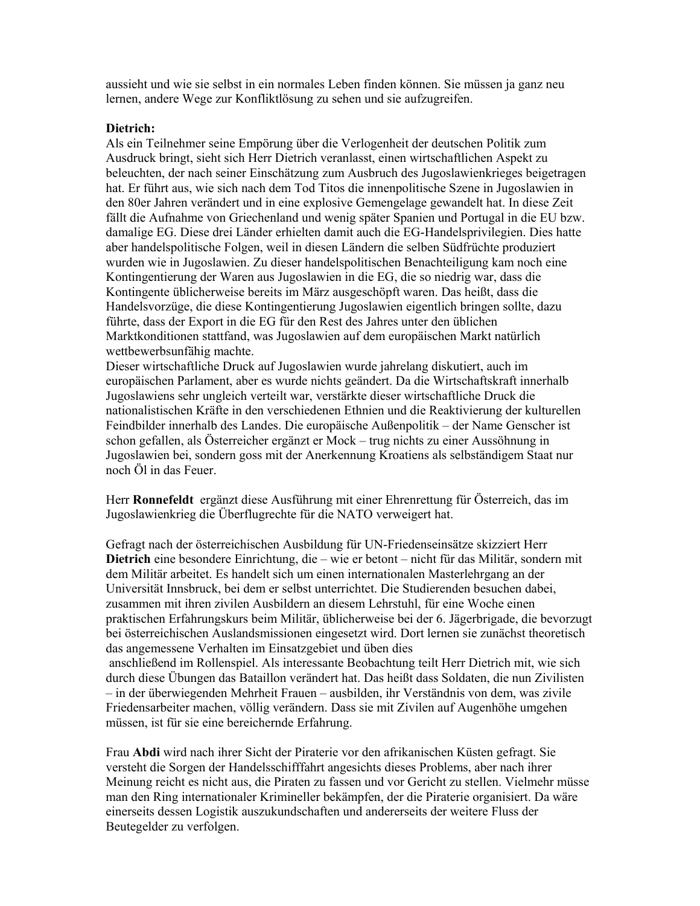aussieht und wie sie selbst in ein normales Leben finden können. Sie müssen ja ganz neu lernen, andere Wege zur Konfliktlösung zu sehen und sie aufzugreifen.

### Dietrich:

Als ein Teilnehmer seine Empörung über die Verlogenheit der deutschen Politik zum Ausdruck bringt, sieht sich Herr Dietrich veranlasst, einen wirtschaftlichen Aspekt zu beleuchten, der nach seiner Einschätzung zum Ausbruch des Jugoslawienkrieges beigetragen hat. Er führt aus, wie sich nach dem Tod Titos die innenpolitische Szene in Jugoslawien in den 80er Jahren verändert und in eine explosive Gemengelage gewandelt hat. In diese Zeit fällt die Aufnahme von Griechenland und wenig später Spanien und Portugal in die EU bzw. damalige EG. Diese drei Länder erhielten damit auch die EG-Handelsprivilegien. Dies hatte aber handelspolitische Folgen, weil in diesen Ländern die selben Südfrüchte produziert wurden wie in Jugoslawien. Zu dieser handelspolitischen Benachteiligung kam noch eine Kontingentierung der Waren aus Jugoslawien in die EG, die so niedrig war, dass die Kontingente üblicherweise bereits im März ausgeschöpft waren. Das heißt, dass die Handelsvorzüge, die diese Kontingentierung Jugoslawien eigentlich bringen sollte, dazu führte, dass der Export in die EG für den Rest des Jahres unter den üblichen Marktkonditionen stattfand, was Jugoslawien auf dem europäischen Markt natürlich wettbewerbsunfähig machte.

Dieser wirtschaftliche Druck auf Jugoslawien wurde jahrelang diskutiert, auch im europäischen Parlament, aber es wurde nichts geändert. Da die Wirtschaftskraft innerhalb Jugoslawiens sehr ungleich verteilt war, verstärkte dieser wirtschaftliche Druck die nationalistischen Kräfte in den verschiedenen Ethnien und die Reaktivierung der kulturellen Feindbilder innerhalb des Landes. Die europäische Außenpolitik – der Name Genscher ist schon gefallen, als Österreicher ergänzt er Mock - trug nichts zu einer Aussöhnung in Jugoslawien bei, sondern goss mit der Anerkennung Kroatiens als selbständigem Staat nur noch Öl in das Feuer.

Herr Ronnefeldt ergänzt diese Ausführung mit einer Ehrenrettung für Österreich, das im Jugoslawienkrieg die Überflugrechte für die NATO verweigert hat.

Gefragt nach der österreichischen Ausbildung für UN-Friedenseinsätze skizziert Herr Dietrich eine besondere Einrichtung, die – wie er betont – nicht für das Militär, sondern mit dem Militär arbeitet. Es handelt sich um einen internationalen Masterlehrgang an der Universität Innsbruck, bei dem er selbst unterrichtet. Die Studierenden besuchen dabei, zusammen mit ihren zivilen Ausbildern an diesem Lehrstuhl, für eine Woche einen praktischen Erfahrungskurs beim Militär, üblicherweise bei der 6. Jägerbrigade, die bevorzugt bei österreichischen Auslandsmissionen eingesetzt wird. Dort lernen sie zunächst theoretisch das angemessene Verhalten im Einsatzgebiet und üben dies anschließend im Rollenspiel. Als interessante Beobachtung teilt Herr Dietrich mit, wie sich durch diese Übungen das Bataillon verändert hat. Das heißt dass Soldaten, die nun Zivilisten - in der überwiegenden Mehrheit Frauen - ausbilden, ihr Verständnis von dem, was zivile Friedensarbeiter machen, völlig verändern. Dass sie mit Zivilen auf Augenhöhe umgehen müssen, ist für sie eine bereichernde Erfahrung.

Frau Abdi wird nach ihrer Sicht der Piraterie vor den afrikanischen Küsten gefragt. Sie versteht die Sorgen der Handelsschifffahrt angesichts dieses Problems, aber nach ihrer Meinung reicht es nicht aus, die Piraten zu fassen und vor Gericht zu stellen. Vielmehr müsse man den Ring internationaler Krimineller bekämpfen, der die Piraterie organisiert. Da wäre einerseits dessen Logistik auszukundschaften und andererseits der weitere Fluss der Beutegelder zu verfolgen.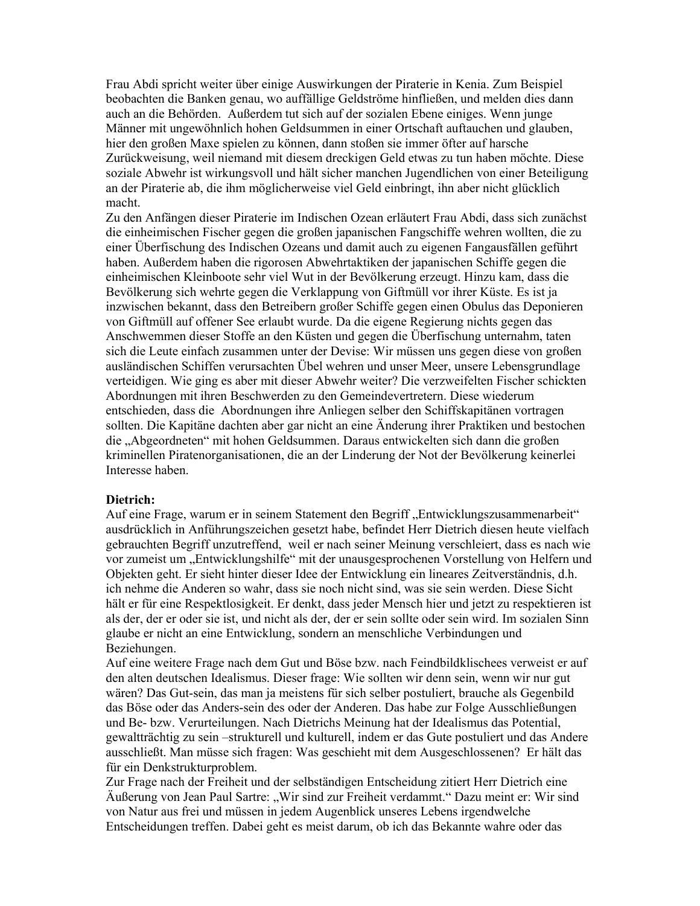Frau Abdi spricht weiter über einige Auswirkungen der Piraterie in Kenia. Zum Beispiel beobachten die Banken genau, wo auffällige Geldströme hinfließen, und melden dies dann auch an die Behörden. Außerdem tut sich auf der sozialen Ebene einiges. Wenn junge Männer mit ungewöhnlich hohen Geldsummen in einer Ortschaft auftauchen und glauben, hier den großen Maxe spielen zu können, dann stoßen sie immer öfter auf harsche Zurückweisung, weil niemand mit diesem dreckigen Geld etwas zu tun haben möchte. Diese soziale Abwehr ist wirkungsvoll und hält sicher manchen Jugendlichen von einer Beteiligung an der Piraterie ab, die ihm möglicherweise viel Geld einbringt, ihn aber nicht glücklich macht.

Zu den Anfängen dieser Piraterie im Indischen Ozean erläutert Frau Abdi, dass sich zunächst die einheimischen Fischer gegen die großen japanischen Fangschiffe wehren wollten, die zu einer Überfischung des Indischen Ozeans und damit auch zu eigenen Fangausfällen geführt haben. Außerdem haben die rigorosen Abwehrtaktiken der japanischen Schiffe gegen die einheimischen Kleinboote sehr viel Wut in der Bevölkerung erzeugt. Hinzu kam, dass die Bevölkerung sich wehrte gegen die Verklappung von Giftmüll vor ihrer Küste. Es ist ja inzwischen bekannt, dass den Betreibern großer Schiffe gegen einen Obulus das Deponieren von Giftmüll auf offener See erlaubt wurde. Da die eigene Regierung nichts gegen das Anschwemmen dieser Stoffe an den Küsten und gegen die Überfischung unternahm, taten sich die Leute einfach zusammen unter der Devise: Wir müssen uns gegen diese von großen ausländischen Schiffen verursachten Übel wehren und unser Meer, unsere Lebensgrundlage verteidigen. Wie ging es aber mit dieser Abwehr weiter? Die verzweifelten Fischer schickten Abordnungen mit ihren Beschwerden zu den Gemeindevertretern. Diese wiederum entschieden, dass die Abordnungen ihre Anliegen selber den Schiffskapitänen vortragen sollten. Die Kapitäne dachten aber gar nicht an eine Änderung ihrer Praktiken und bestochen die "Abgeordneten" mit hohen Geldsummen. Daraus entwickelten sich dann die großen kriminellen Piratenorganisationen, die an der Linderung der Not der Bevölkerung keinerlei Interesse haben.

#### Dietrich:

Auf eine Frage, warum er in seinem Statement den Begriff "Entwicklungszusammenarbeit" ausdrücklich in Anführungszeichen gesetzt habe, befindet Herr Dietrich diesen heute vielfach gebrauchten Begriff unzutreffend, weil er nach seiner Meinung verschleiert, dass es nach wie vor zumeist um "Entwicklungshilfe" mit der unausgesprochenen Vorstellung von Helfern und Objekten geht. Er sieht hinter dieser Idee der Entwicklung ein lineares Zeitverständnis, d.h. ich nehme die Anderen so wahr, dass sie noch nicht sind, was sie sein werden. Diese Sicht hält er für eine Respektlosigkeit. Er denkt, dass jeder Mensch hier und jetzt zu respektieren ist als der, der er oder sie ist, und nicht als der, der er sein sollte oder sein wird. Im sozialen Sinn glaube er nicht an eine Entwicklung, sondern an menschliche Verbindungen und Beziehungen.

Auf eine weitere Frage nach dem Gut und Böse bzw. nach Feindbildklischees verweist er auf den alten deutschen Idealismus. Dieser frage: Wie sollten wir denn sein, wenn wir nur gut wären? Das Gut-sein, das man ja meistens für sich selber postuliert, brauche als Gegenbild das Böse oder das Anders-sein des oder der Anderen. Das habe zur Folge Ausschließungen und Be- bzw. Verurteilungen. Nach Dietrichs Meinung hat der Idealismus das Potential, gewaltträchtig zu sein –strukturell und kulturell, indem er das Gute postuliert und das Andere ausschließt. Man müsse sich fragen: Was geschieht mit dem Ausgeschlossenen? Er hält das für ein Denkstrukturproblem.

Zur Frage nach der Freiheit und der selbständigen Entscheidung zitiert Herr Dietrich eine Äußerung von Jean Paul Sartre: "Wir sind zur Freiheit verdammt." Dazu meint er: Wir sind von Natur aus frei und müssen in jedem Augenblick unseres Lebens irgendwelche Entscheidungen treffen. Dabei geht es meist darum, ob ich das Bekannte wahre oder das